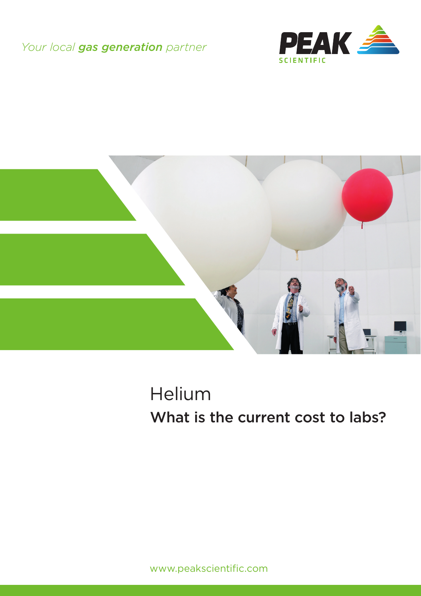### *Your local gas generation partner*





# Helium What is the current cost to labs?

www.peakscientific.com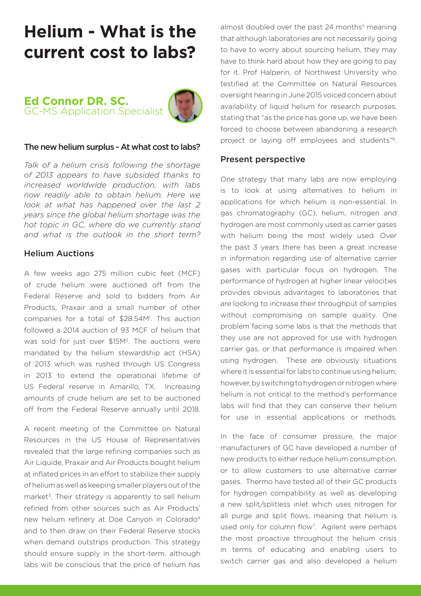## **Helium - What is the current cost to labs?**

**Ed Connor DR. SC.** GC-MS Application Specialist



#### The new helium surplus - At what cost to labs?

*Talk of a helium crisis following the shortage of 2013 appears to have subsided thanks to increased worldwide production, with labs now readily able to obtain helium. Here we look at what has happened over the last 2 years since the global helium shortage was the hot topic in GC, where do we currently stand and what is the outlook in the short term?*

#### Helium Auctions

A few weeks ago 275 million cubic feet (MCF) of crude helium were auctioned off from the Federal Reserve and sold to bidders from Air Products, Praxair and a small number of other companies for a total of \$28.54M1 . This auction followed a 2014 auction of 93 MCF of helium that was sold for just over \$15M2. The auctions were mandated by the helium stewardship act (HSA) of 2013 which was rushed through US Congress in 2013 to extend the operational lifetime of US Federal reserve in Amarillo, TX. Increasing amounts of crude helium are set to be auctioned off from the Federal Reserve annually until 2018.

A recent meeting of the Committee on Natural Resources in the US House of Representatives revealed that the large refining companies such as Air Liquide, Praxair and Air Products bought helium at inflated prices in an effort to stabilize their supply of helium as well as keeping smaller players out of the market<sup>3</sup>. Their strategy is apparently to sell helium refined from other sources such as Air Products' new helium refinery at Doe Canyon in Colorado<sup>4</sup> and to then draw on their Federal Reserve stocks when demand outstrips production. This strategy should ensure supply in the short-term, although labs will be conscious that the price of helium has almost doubled over the past 24 months<sup>5</sup> meaning that although laboratories are not necessarily going to have to worry about sourcing helium, they may have to think hard about how they are going to pay for it. Prof Halperin, of Northwest University who testified at the Committee on Natural Resources oversight hearing in June 2015 voiced concern about availability of liquid helium for research purposes. stating that "as the price has gone up, we have been forced to choose between abandoning a research project or laying off employees and students"6.

#### Present perspective

One strategy that many labs are now employing is to look at using alternatives to helium in applications for which helium is non-essential. In gas chromatography (GC), helium, nitrogen and hydrogen are most commonly used as carrier gases with helium being the most widely used. Over the past 3 years there has been a great increase in information regarding use of alternative carrier gases with particular focus on hydrogen. The performance of hydrogen at higher linear velocities provides obvious advantages to laboratories that are looking to increase their throughput of samples without compromising on sample quality. One problem facing some labs is that the methods that they use are not approved for use with hydrogen carrier gas, or that performance is impaired when using hydrogen. These are obviously situations where it is essential for labs to continue using helium; however, by switching to hydrogen or nitrogen where helium is not critical to the method's performance labs will find that they can conserve their helium for use in essential applications or methods.

In the face of consumer pressure, the major manufacturers of GC have developed a number of new products to either reduce helium consumption, or to allow customers to use alternative carrier gases. Thermo have tested all of their GC products for hydrogen compatibility as well as developing a new split/splitless inlet which uses nitrogen for all purge and split flows, meaning that helium is used only for column flow<sup>7</sup>. Agilent were perhaps the most proactive throughout the helium crisis in terms of educating and enabling users to switch carrier gas and also developed a helium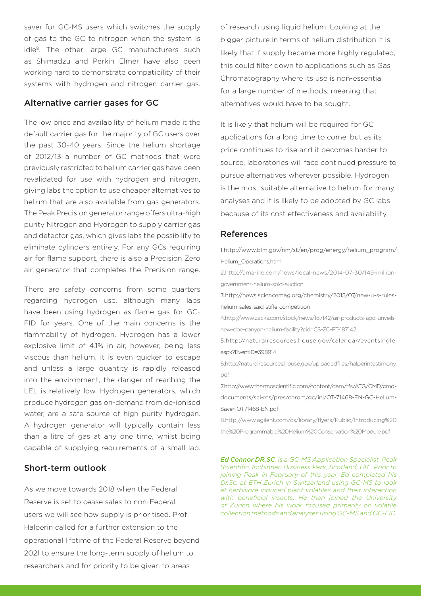saver for GC-MS users which switches the supply of gas to the GC to nitrogen when the system is idle8. The other large GC manufacturers such as Shimadzu and Perkin Elmer have also been working hard to demonstrate compatibility of their systems with hydrogen and nitrogen carrier gas.

#### Alternative carrier gases for GC

The low price and availability of helium made it the default carrier gas for the majority of GC users over the past 30-40 years. Since the helium shortage of 2012/13 a number of GC methods that were previously restricted to helium carrier gas have been revalidated for use with hydrogen and nitrogen, giving labs the option to use cheaper alternatives to helium that are also available from gas generators. The Peak Precision generator range offers ultra-high purity Nitrogen and Hydrogen to supply carrier gas and detector gas, which gives labs the possibility to eliminate cylinders entirely. For any GCs requiring air for flame support, there is also a Precision Zero air generator that completes the Precision range.

There are safety concerns from some quarters regarding hydrogen use, although many labs have been using hydrogen as flame gas for GC-FID for years. One of the main concerns is the flammability of hydrogen. Hydrogen has a lower explosive limit of 4.1% in air, however, being less viscous than helium, it is even quicker to escape and unless a large quantity is rapidly released into the environment, the danger of reaching the LEL is relatively low. Hydrogen generators, which produce hydrogen gas on-demand from de-ionised water, are a safe source of high purity hydrogen. A hydrogen generator will typically contain less than a litre of gas at any one time, whilst being capable of supplying requirements of a small lab.

#### Short-term outlook

As we move towards 2018 when the Federal Reserve is set to cease sales to non-Federal users we will see how supply is prioritised. Prof Halperin called for a further extension to the operational lifetime of the Federal Reserve beyond 2021 to ensure the long-term supply of helium to researchers and for priority to be given to areas

of research using liquid helium. Looking at the bigger picture in terms of helium distribution it is likely that if supply became more highly regulated, this could filter down to applications such as Gas Chromatography where its use is non-essential for a large number of methods, meaning that alternatives would have to be sought.

It is likely that helium will be required for GC applications for a long time to come, but as its price continues to rise and it becomes harder to source, laboratories will face continued pressure to pursue alternatives wherever possible. Hydrogen is the most suitable alternative to helium for many analyses and it is likely to be adopted by GC labs because of its cost effectiveness and availability.

#### References

1.http://www.blm.gov/nm/st/en/prog/energy/helium\_program/ Helium\_Operations.html

2.http://amarillo.com/news/local-news/2014-07-30/149-milliongovernment-helium-sold-auction

3.http://news.sciencemag.org/chemistry/2015/07/new-u-s-ruleshelium-sales-said-stifle-competition

4.http://www.zacks.com/stock/news/187142/air-products-apd-unveilsnew-doe-canyon-helium-facility?cid=CS-ZC-FT-187142

5.http://naturalresources.house.gov/calendar/eventsingle. aspx?EventID=398914

6.http://naturalresources.house.gov/uploadedfiles/halperintestimony. pdf

7.http://www.thermoscientific.com/content/dam/tfs/ATG/CMD/cmddocuments/sci-res/pres/chrom/gc/inj/OT-71468-EN-GC-Helium-Saver-OT71468-EN.pdf

8.http://www.agilent.com/cs/library/flyers/Public/Introducing%20 the%20Programmable%20Helium%20Conservation%20Module.pdf

*Ed Connor DR.SC. is a GC-MS Application Specialist, Peak Scientific, Inchinnan Business Park, Scotland, UK . Prior to joining Peak in February of this year, Ed completed his Dr.Sc. at ETH Zurich in Switzerland using GC-MS to look at herbivore induced plant volatiles and their interaction with beneficial insects. He then joined the University of Zurich where his work focused primarily on volatile collection methods and analyses using GC-MS and GC-FID.*